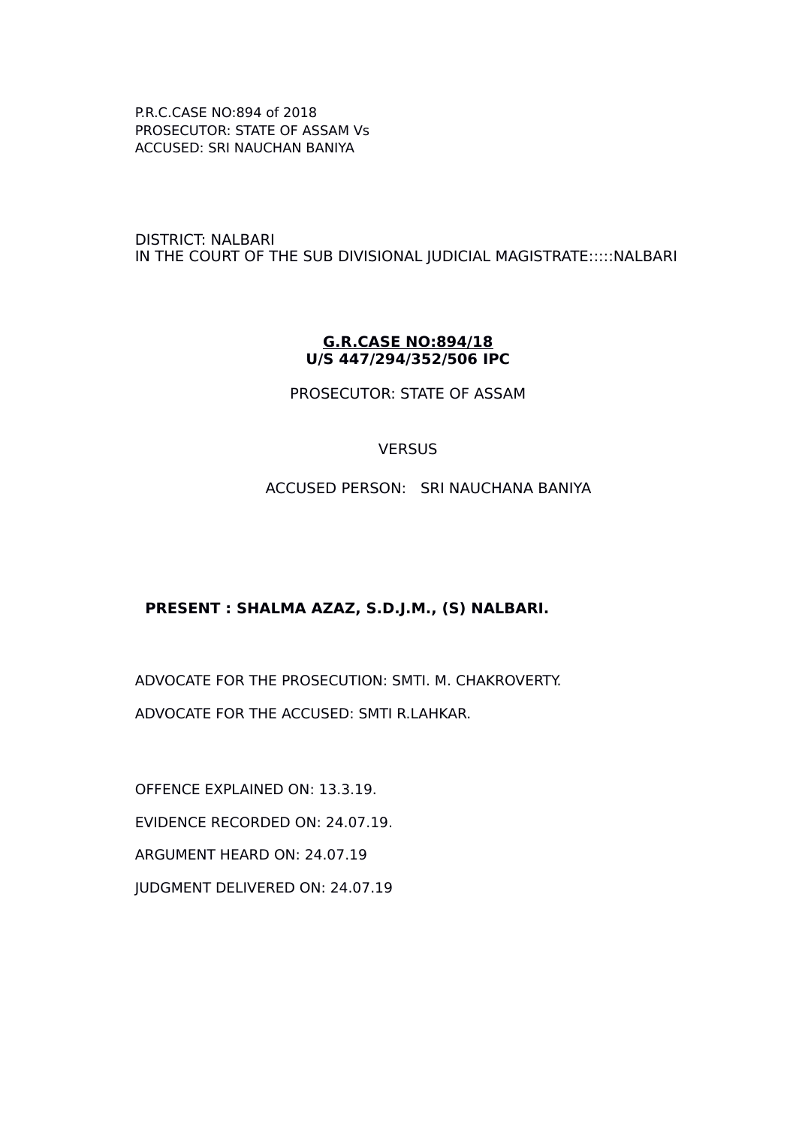DISTRICT: NALBARI IN THE COURT OF THE SUB DIVISIONAL JUDICIAL MAGISTRATE:::::NALBARI

#### **G.R.CASE NO:894/18 U/S 447/294/352/506 IPC**

PROSECUTOR: STATE OF ASSAM

### **VERSUS**

ACCUSED PERSON: SRI NAUCHANA BANIYA

### **PRESENT : SHALMA AZAZ, S.D.J.M., (S) NALBARI.**

ADVOCATE FOR THE PROSECUTION: SMTI. M. CHAKROVERTY. ADVOCATE FOR THE ACCUSED: SMTI R.LAHKAR.

OFFENCE EXPLAINED ON: 13.3.19. EVIDENCE RECORDED ON: 24.07.19. ARGUMENT HEARD ON: 24.07.19 JUDGMENT DELIVERED ON: 24.07.19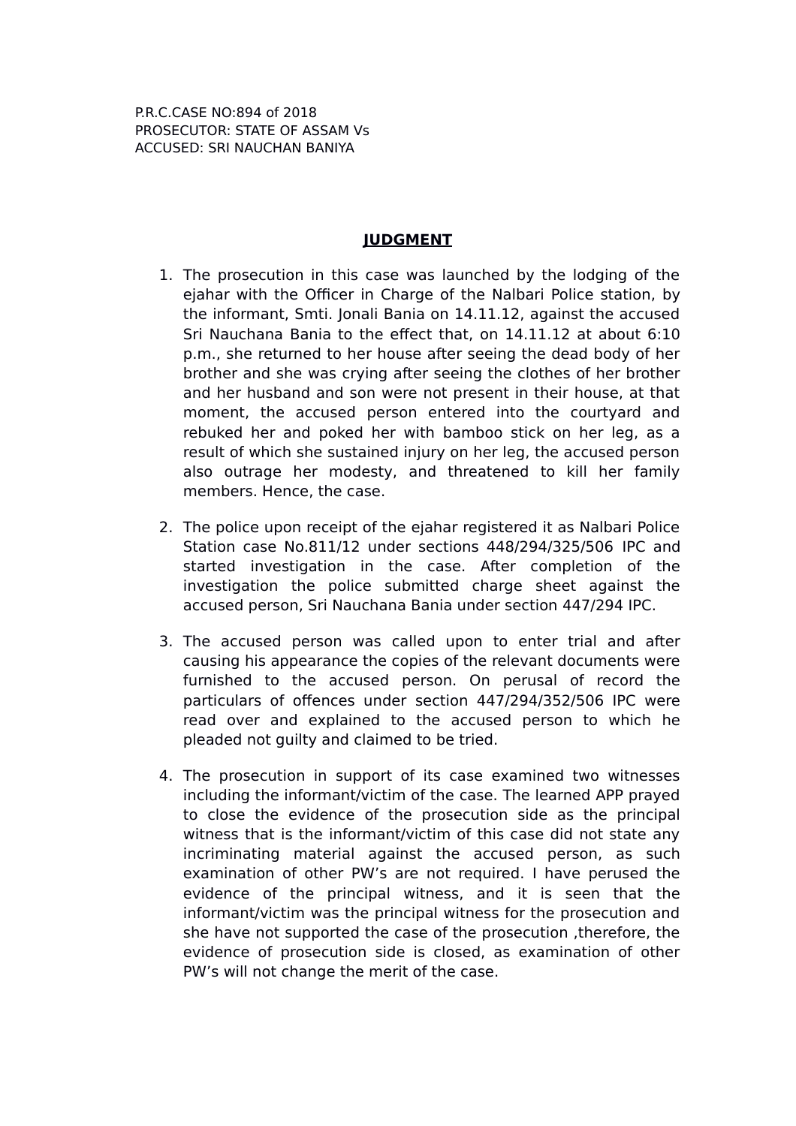# **JUDGMENT**

- 1. The prosecution in this case was launched by the lodging of the ejahar with the Officer in Charge of the Nalbari Police station, by the informant, Smti. Jonali Bania on 14.11.12, against the accused Sri Nauchana Bania to the effect that, on 14.11.12 at about 6:10 p.m., she returned to her house after seeing the dead body of her brother and she was crying after seeing the clothes of her brother and her husband and son were not present in their house, at that moment, the accused person entered into the courtyard and rebuked her and poked her with bamboo stick on her leg, as a result of which she sustained injury on her leg, the accused person also outrage her modesty, and threatened to kill her family members. Hence, the case.
- 2. The police upon receipt of the ejahar registered it as Nalbari Police Station case No.811/12 under sections 448/294/325/506 IPC and started investigation in the case. After completion of the investigation the police submitted charge sheet against the accused person, Sri Nauchana Bania under section 447/294 IPC.
- 3. The accused person was called upon to enter trial and after causing his appearance the copies of the relevant documents were furnished to the accused person. On perusal of record the particulars of offences under section 447/294/352/506 IPC were read over and explained to the accused person to which he pleaded not guilty and claimed to be tried.
- 4. The prosecution in support of its case examined two witnesses including the informant/victim of the case. The learned APP prayed to close the evidence of the prosecution side as the principal witness that is the informant/victim of this case did not state any incriminating material against the accused person, as such examination of other PW's are not required. I have perused the evidence of the principal witness, and it is seen that the informant/victim was the principal witness for the prosecution and she have not supported the case of the prosecution ,therefore, the evidence of prosecution side is closed, as examination of other PW's will not change the merit of the case.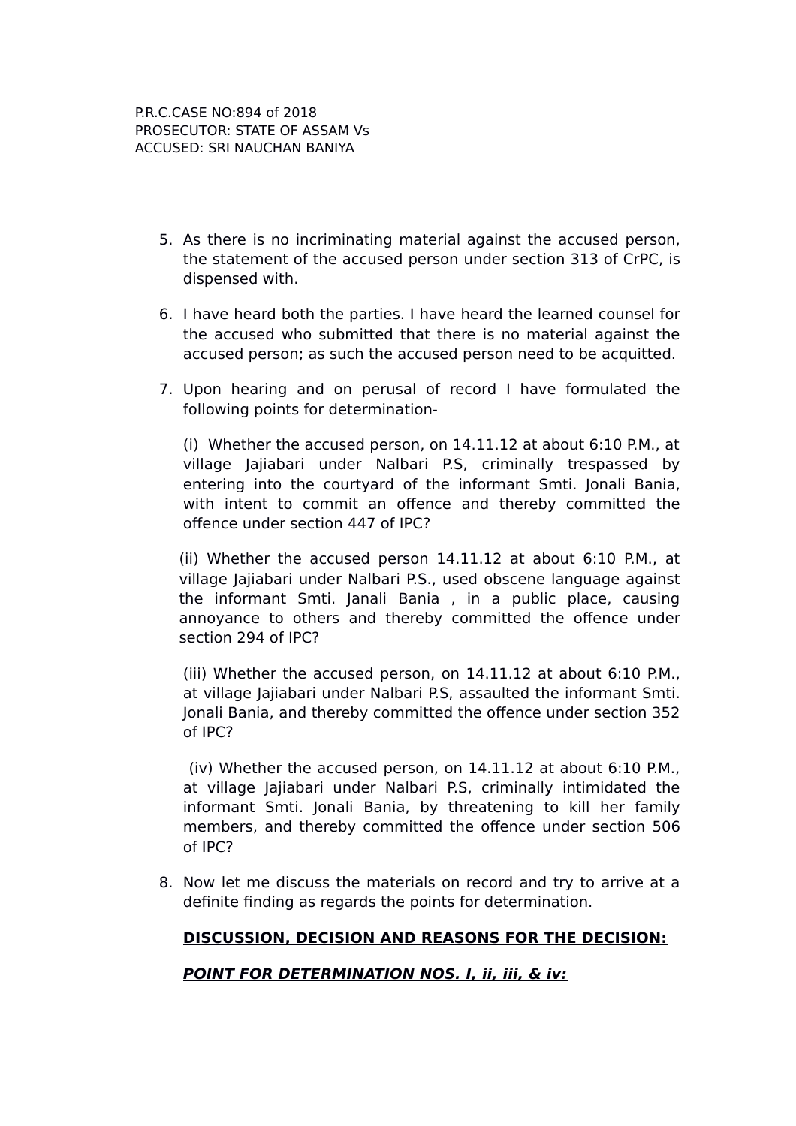- 5. As there is no incriminating material against the accused person, the statement of the accused person under section 313 of CrPC, is dispensed with.
- 6. I have heard both the parties. I have heard the learned counsel for the accused who submitted that there is no material against the accused person; as such the accused person need to be acquitted.
- 7. Upon hearing and on perusal of record I have formulated the following points for determination-

(i) Whether the accused person, on 14.11.12 at about 6:10 P.M., at village Jajiabari under Nalbari P.S, criminally trespassed by entering into the courtyard of the informant Smti. Jonali Bania, with intent to commit an offence and thereby committed the offence under section 447 of IPC?

(ii) Whether the accused person 14.11.12 at about 6:10 P.M., at village Jajiabari under Nalbari P.S., used obscene language against the informant Smti. Janali Bania , in a public place, causing annoyance to others and thereby committed the offence under section 294 of IPC?

(iii) Whether the accused person, on 14.11.12 at about 6:10 P.M., at village Jajiabari under Nalbari P.S, assaulted the informant Smti. Jonali Bania, and thereby committed the offence under section 352 of IPC?

 (iv) Whether the accused person, on 14.11.12 at about 6:10 P.M., at village Jajiabari under Nalbari P.S, criminally intimidated the informant Smti. Jonali Bania, by threatening to kill her family members, and thereby committed the offence under section 506 of IPC?

8. Now let me discuss the materials on record and try to arrive at a definite finding as regards the points for determination.

### **DISCUSSION, DECISION AND REASONS FOR THE DECISION:**

### **POINT FOR DETERMINATION NOS. I, ii, iii, & iv:**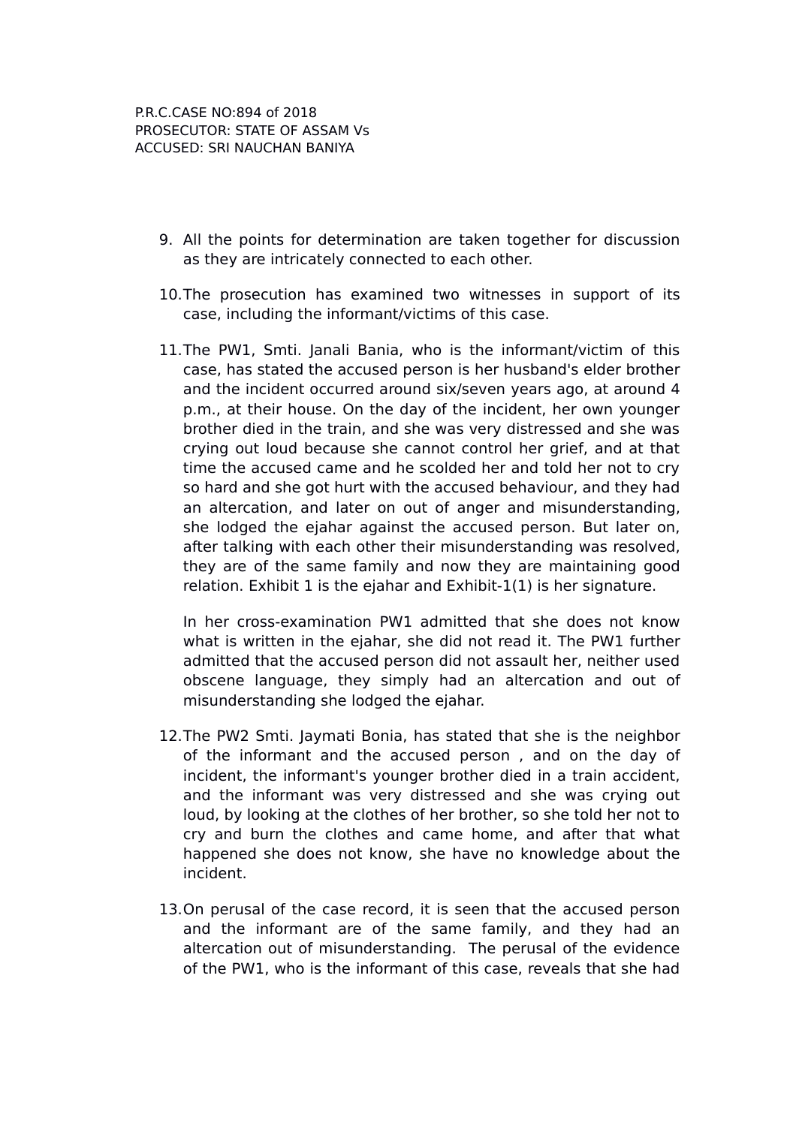- 9. All the points for determination are taken together for discussion as they are intricately connected to each other.
- 10.The prosecution has examined two witnesses in support of its case, including the informant/victims of this case.
- 11.The PW1, Smti. Janali Bania, who is the informant/victim of this case, has stated the accused person is her husband's elder brother and the incident occurred around six/seven years ago, at around 4 p.m., at their house. On the day of the incident, her own younger brother died in the train, and she was very distressed and she was crying out loud because she cannot control her grief, and at that time the accused came and he scolded her and told her not to cry so hard and she got hurt with the accused behaviour, and they had an altercation, and later on out of anger and misunderstanding, she lodged the ejahar against the accused person. But later on, after talking with each other their misunderstanding was resolved, they are of the same family and now they are maintaining good relation. Exhibit 1 is the ejahar and Exhibit-1(1) is her signature.

In her cross-examination PW1 admitted that she does not know what is written in the ejahar, she did not read it. The PW1 further admitted that the accused person did not assault her, neither used obscene language, they simply had an altercation and out of misunderstanding she lodged the ejahar.

- 12.The PW2 Smti. Jaymati Bonia, has stated that she is the neighbor of the informant and the accused person , and on the day of incident, the informant's younger brother died in a train accident, and the informant was very distressed and she was crying out loud, by looking at the clothes of her brother, so she told her not to cry and burn the clothes and came home, and after that what happened she does not know, she have no knowledge about the incident.
- 13.On perusal of the case record, it is seen that the accused person and the informant are of the same family, and they had an altercation out of misunderstanding. The perusal of the evidence of the PW1, who is the informant of this case, reveals that she had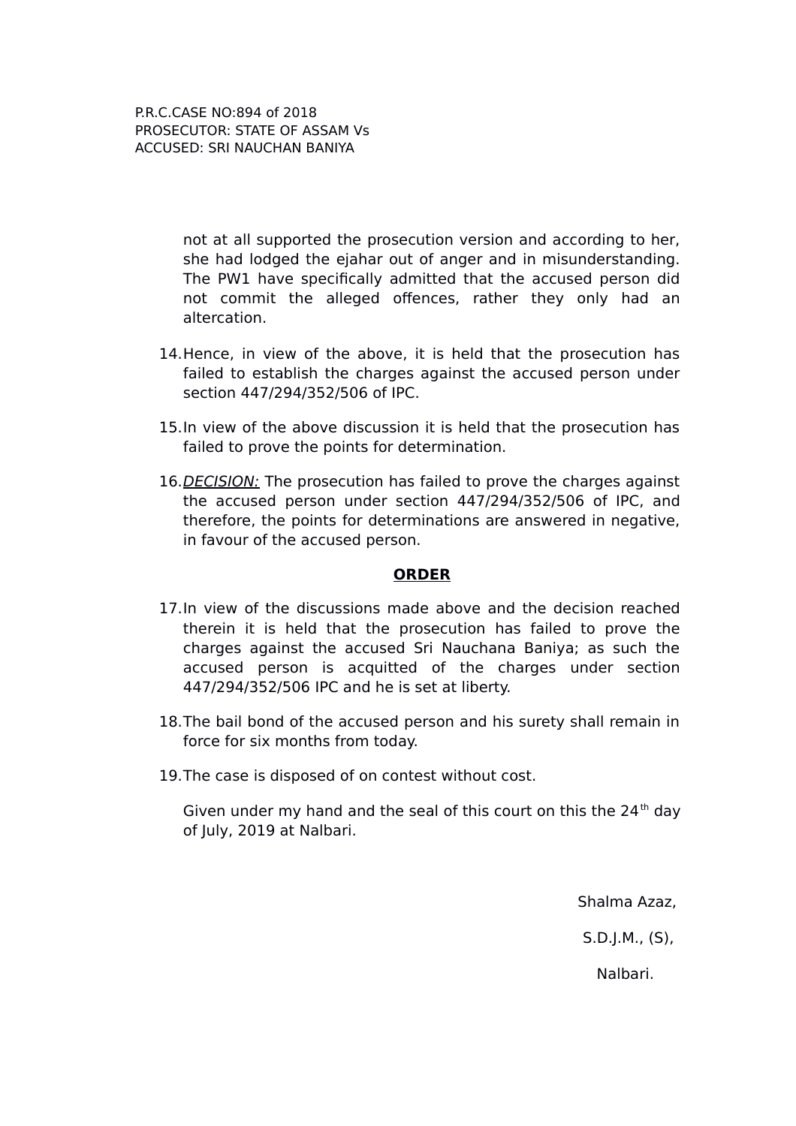> not at all supported the prosecution version and according to her, she had lodged the ejahar out of anger and in misunderstanding. The PW1 have specifically admitted that the accused person did not commit the alleged offences, rather they only had an altercation.

- 14.Hence, in view of the above, it is held that the prosecution has failed to establish the charges against the accused person under section 447/294/352/506 of IPC.
- 15.In view of the above discussion it is held that the prosecution has failed to prove the points for determination.
- 16. DECISION: The prosecution has failed to prove the charges against the accused person under section 447/294/352/506 of IPC, and therefore, the points for determinations are answered in negative, in favour of the accused person.

#### **ORDER**

- 17.In view of the discussions made above and the decision reached therein it is held that the prosecution has failed to prove the charges against the accused Sri Nauchana Baniya; as such the accused person is acquitted of the charges under section 447/294/352/506 IPC and he is set at liberty.
- 18.The bail bond of the accused person and his surety shall remain in force for six months from today.
- 19.The case is disposed of on contest without cost.

Given under my hand and the seal of this court on this the  $24<sup>th</sup>$  day of July, 2019 at Nalbari.

Shalma Azaz,

S.D.J.M., (S),

Nalbari.